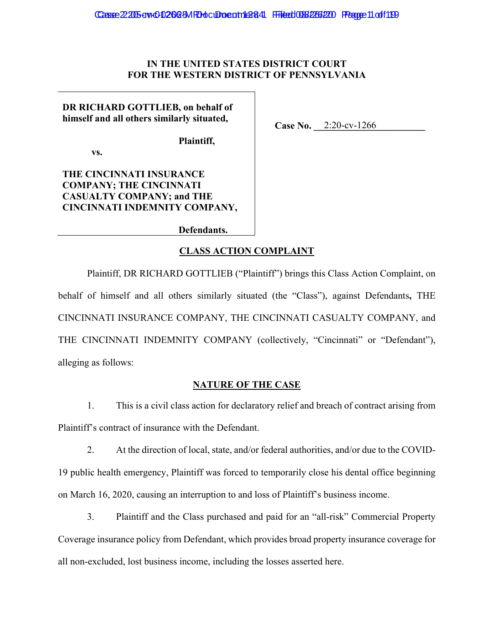## IN THE UNITED STATES DISTRICT COURT FOR THE WESTERN DISTRICT OF PENNSYLVANIA

Case No. 2:20-cv-1266

DR RICHARD GOTTLIEB, on behalf of himself and all others similarly situated,

Plaintiff,

VS.

THE CINCINNATI INSURANCE **COMPANY; THE CINCINNATI CASUALTY COMPANY; and THE** CINCINNATI INDEMNITY COMPANY,

Defendants.

## **CLASS ACTION COMPLAINT**

Plaintiff, DR RICHARD GOTTLIEB ("Plaintiff") brings this Class Action Complaint, on behalf of himself and all others similarly situated (the "Class"), against Defendants, THE CINCINNATI INSURANCE COMPANY, THE CINCINNATI CASUALTY COMPANY, and THE CINCINNATI INDEMNITY COMPANY (collectively, "Cincinnati" or "Defendant"), alleging as follows:

### **NATURE OF THE CASE**

 $1<sup>1</sup>$ This is a civil class action for declaratory relief and breach of contract arising from Plaintiff's contract of insurance with the Defendant.

 $2.$ At the direction of local, state, and/or federal authorities, and/or due to the COVID-19 public health emergency, Plaintiff was forced to temporarily close his dental office beginning on March 16, 2020, causing an interruption to and loss of Plaintiff's business income.

 $3.$ Plaintiff and the Class purchased and paid for an "all-risk" Commercial Property Coverage insurance policy from Defendant, which provides broad property insurance coverage for all non-excluded, lost business income, including the losses asserted here.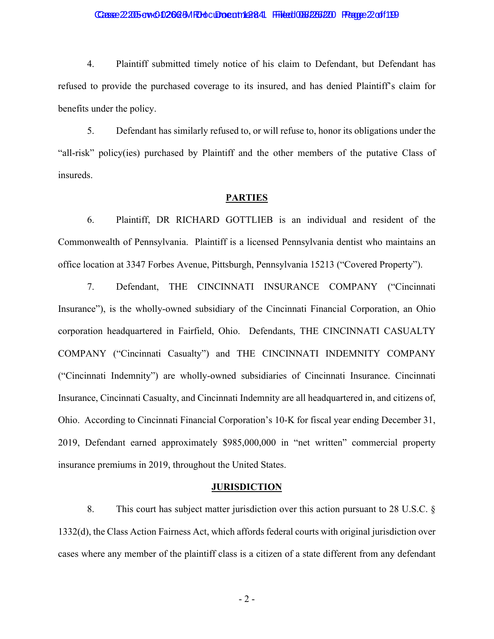## Casse 22205 av t 0 262 5M RHo culto cuttle 384 Filest 0068 2266 220 Fragge 2 of 1199

 $4.$ Plaintiff submitted timely notice of his claim to Defendant, but Defendant has refused to provide the purchased coverage to its insured, and has denied Plaintiff's claim for benefits under the policy.

5. Defendant has similarly refused to, or will refuse to, honor its obligations under the "all-risk" policy(ies) purchased by Plaintiff and the other members of the putative Class of insureds.

#### **PARTIES**

6. Plaintiff, DR RICHARD GOTTLIEB is an individual and resident of the Commonwealth of Pennsylvania. Plaintiff is a licensed Pennsylvania dentist who maintains an office location at 3347 Forbes Avenue, Pittsburgh, Pennsylvania 15213 ("Covered Property").

Defendant, THE CINCINNATI INSURANCE COMPANY ("Cincinnati  $7.$ Insurance", is the wholly-owned subsidiary of the Cincinnati Financial Corporation, an Ohio corporation headquartered in Fairfield, Ohio. Defendants, THE CINCINNATI CASUALTY COMPANY ("Cincinnati Casualty") and THE CINCINNATI INDEMNITY COMPANY ("Cincinnati Indemnity") are wholly-owned subsidiaries of Cincinnati Insurance. Cincinnati Insurance, Cincinnati Casualty, and Cincinnati Indemnity are all headquartered in, and citizens of, Ohio. According to Cincinnati Financial Corporation's 10-K for fiscal year ending December 31, 2019, Defendant earned approximately \$985,000,000 in "net written" commercial property insurance premiums in 2019, throughout the United States.

#### **JURISDICTION**

8. This court has subject matter jurisdiction over this action pursuant to 28 U.S.C.  $\S$ 1332(d), the Class Action Fairness Act, which affords federal courts with original jurisdiction over cases where any member of the plaintiff class is a citizen of a state different from any defendant

 $-2-$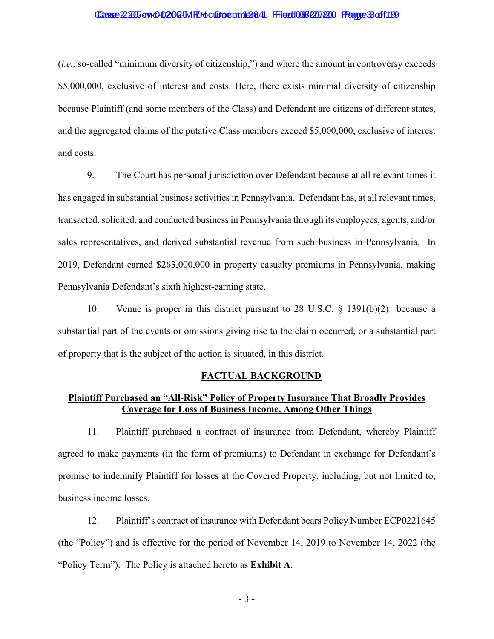## Casse 22205 av t 0 262 5M RHo culture at 1128 4 Filest 1036 2266 220 Fragge 3 of 1199

*(i.e., so-called "minimum diversity of citizenship,") and where the amount in controversy exceeds* \$5,000,000, exclusive of interest and costs. Here, there exists minimal diversity of citizenship because Plaintiff (and some members of the Class) and Defendant are citizens of different states, and the aggregated claims of the putative Class members exceed \$5,000,000, exclusive of interest and costs.

9. The Court has personal jurisdiction over Defendant because at all relevant times it has engaged in substantial business activities in Pennsylvania. Defendant has, at all relevant times, transacted, solicited, and conducted business in Pennsylvania through its employees, agents, and/or sales representatives, and derived substantial revenue from such business in Pennsylvania. In 2019, Defendant earned \$263,000,000 in property casualty premiums in Pennsylvania, making Pennsylvania Defendant's sixth highest-earning state.

Venue is proper in this district pursuant to 28 U.S.C.  $\S$  1391(b)(2) because a 10. substantial part of the events or omissions giving rise to the claim occurred, or a substantial part of property that is the subject of the action is situated, in this district.

### FACTUAL BACKGROUND

# **Plaintiff Purchased an "All-Risk" Policy of Property Insurance That Broadly Provides Coverage for Loss of Business Income, Among Other Things**

Plaintiff purchased a contract of insurance from Defendant, whereby Plaintiff 11. agreed to make payments (in the form of premiums) to Defendant in exchange for Defendant's promise to indemnify Plaintiff for losses at the Covered Property, including, but not limited to, business income losses.

 $12.$ Plaintiff's contract of insurance with Defendant bears Policy Number ECP0221645 (the "Policy") and is effective for the period of November 14, 2019 to November 14, 2022 (the "Policy Term"). The Policy is attached hereto as **Exhibit A**.

 $-3-$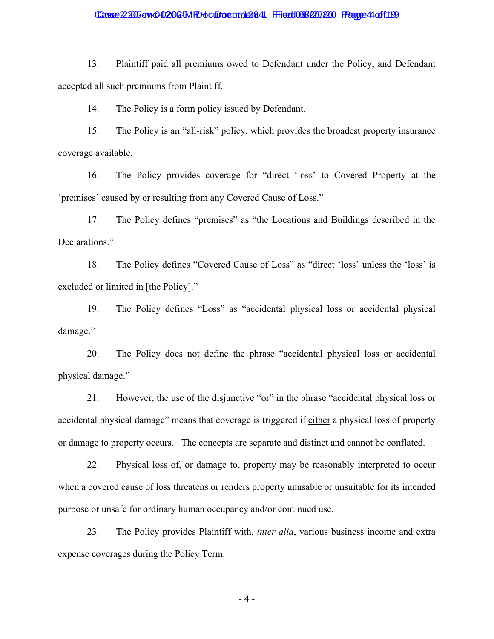### Casse 22:205-cv-0-0266-5MRH ocument 1:28:44 Filed 086/2266/200 Fragge 4 of 1199

13. Plaintiff paid all premiums owed to Defendant under the Policy, and Defendant accepted all such premiums from Plaintiff.

14. The Policy is a form policy issued by Defendant.

15. The Policy is an "all-risk" policy, which provides the broadest property insurance coverage available.

16. The Policy provides coverage for "direct 'loss' to Covered Property at the 'premises' caused by or resulting from any Covered Cause of Loss."

17. The Policy defines "premises" as "the Locations and Buildings described in the Declarations."

18. The Policy defines "Covered Cause of Loss" as "direct 'loss' unless the 'loss' is excluded or limited in [the Policy]."

19. The Policy defines "Loss" as "accidental physical loss or accidental physical damage."

20. The Policy does not define the phrase "accidental physical loss or accidental physical damage."

21. However, the use of the disjunctive "or" in the phrase "accidental physical loss or accidental physical damage" means that coverage is triggered if either a physical loss of property or damage to property occurs. The concepts are separate and distinct and cannot be conflated.

22. Physical loss of, or damage to, property may be reasonably interpreted to occur when a covered cause of loss threatens or renders property unusable or unsuitable for its intended purpose or unsafe for ordinary human occupancy and/or continued use.

23. The Policy provides Plaintiff with, *inter alia*, various business income and extra expense coverages during the Policy Term.

 $-4-$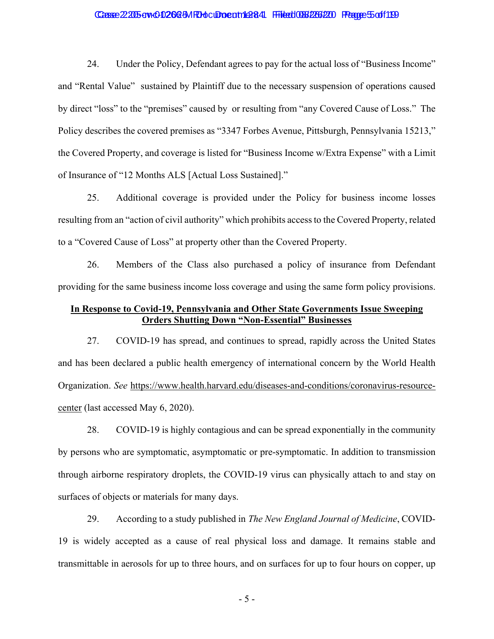### Casse 22205 av & 02625M Rhot Oboeut 1284 Filed 036266220 Frage 5off 119

24. Under the Policy, Defendant agrees to pay for the actual loss of "Business Income" and "Rental Value" sustained by Plaintiff due to the necessary suspension of operations caused by direct "loss" to the "premises" caused by or resulting from "any Covered Cause of Loss." The Policy describes the covered premises as "3347 Forbes Avenue, Pittsburgh, Pennsylvania 15213," the Covered Property, and coverage is listed for "Business Income w/Extra Expense" with a Limit of Insurance of "12 Months ALS [Actual Loss Sustained]."

25. Additional coverage is provided under the Policy for business income losses resulting from an "action of civil authority" which prohibits access to the Covered Property, related to a "Covered Cause of Loss" at property other than the Covered Property.

26. Members of the Class also purchased a policy of insurance from Defendant providing for the same business income loss coverage and using the same form policy provisions.

## In Response to Covid-19, Pennsylvania and Other State Governments Issue Sweeping **Orders Shutting Down "Non-Essential" Businesses**

COVID-19 has spread, and continues to spread, rapidly across the United States 27. and has been declared a public health emergency of international concern by the World Health Organization. See https://www.health.harvard.edu/diseases-and-conditions/coronavirus-resourcecenter (last accessed May 6, 2020).

28. COVID-19 is highly contagious and can be spread exponentially in the community by persons who are symptomatic, asymptomatic or pre-symptomatic. In addition to transmission through airborne respiratory droplets, the COVID-19 virus can physically attach to and stay on surfaces of objects or materials for many days.

29. According to a study published in The New England Journal of Medicine, COVID-19 is widely accepted as a cause of real physical loss and damage. It remains stable and transmittable in aerosols for up to three hours, and on surfaces for up to four hours on copper, up

 $-5-$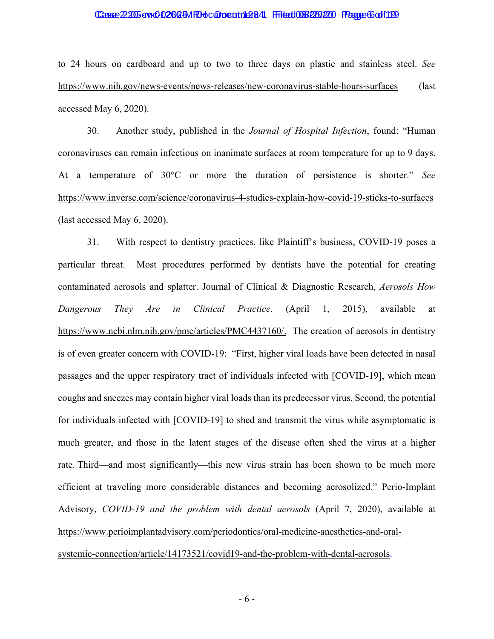### Casse 2205 av CD2625MRHocumeatrich at 41 Fried 066 226 220 Frage 6 of 1199

to 24 hours on cardboard and up to two to three days on plastic and stainless steel. See https://www.nih.gov/news-events/news-releases/new-coronavirus-stable-hours-surfaces (last) accessed May 6, 2020).

30. Another study, published in the Journal of Hospital Infection, found: "Human coronaviruses can remain infectious on inanimate surfaces at room temperature for up to 9 days. At a temperature of 30°C or more the duration of persistence is shorter." See https://www.inverse.com/science/coronavirus-4-studies-explain-how-covid-19-sticks-to-surfaces (last accessed May  $6, 2020$ ).

31. With respect to dentistry practices, like Plaintiff's business, COVID-19 poses a particular threat. Most procedures performed by dentists have the potential for creating contaminated aerosols and splatter. Journal of Clinical & Diagnostic Research, Aerosols How Clinical Practice, Dangerous They Are  $in$ (April) 1.  $2015$ ). available at https://www.ncbi.nlm.nih.gov/pmc/articles/PMC4437160/. The creation of aerosols in dentistry is of even greater concern with COVID-19: "First, higher viral loads have been detected in nasal passages and the upper respiratory tract of individuals infected with [COVID-19], which mean coughs and sneezes may contain higher viral loads than its predecessor virus. Second, the potential for individuals infected with [COVID-19] to shed and transmit the virus while asymptomatic is much greater, and those in the latent stages of the disease often shed the virus at a higher rate. Third—and most significantly—this new virus strain has been shown to be much more efficient at traveling more considerable distances and becoming aerosolized." Perio-Implant Advisory, COVID-19 and the problem with dental aerosols (April 7, 2020), available at https://www.perioimplantadvisory.com/periodontics/oral-medicine-anesthetics-and-oralsystemic-connection/article/14173521/covid19-and-the-problem-with-dental-aerosols.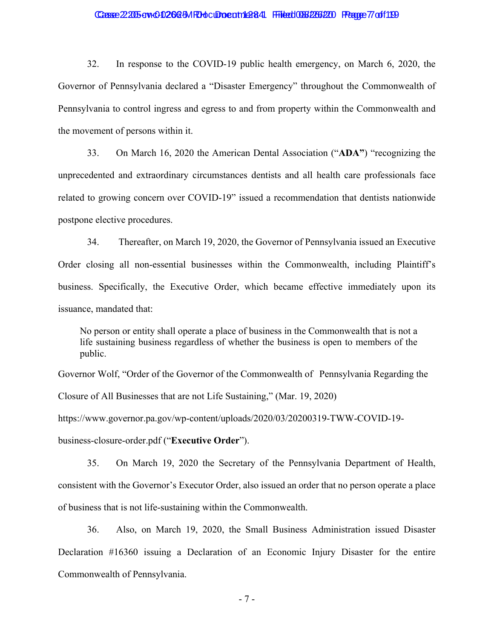## 

32. In response to the COVID-19 public health emergency, on March 6, 2020, the Governor of Pennsylvania declared a "Disaster Emergency" throughout the Commonwealth of Pennsylvania to control ingress and egress to and from property within the Commonwealth and the movement of persons within it.

33. On March 16, 2020 the American Dental Association ("ADA") "recognizing the unprecedented and extraordinary circumstances dentists and all health care professionals face related to growing concern over COVID-19" issued a recommendation that dentists nationwide postpone elective procedures.

34. Thereafter, on March 19, 2020, the Governor of Pennsylvania issued an Executive Order closing all non-essential businesses within the Commonwealth, including Plaintiff's business. Specifically, the Executive Order, which became effective immediately upon its issuance, mandated that:

No person or entity shall operate a place of business in the Commonwealth that is not a life sustaining business regardless of whether the business is open to members of the public.

Governor Wolf, "Order of the Governor of the Commonwealth of Pennsylvania Regarding the Closure of All Businesses that are not Life Sustaining," (Mar. 19, 2020)

https://www.governor.pa.gov/wp-content/uploads/2020/03/20200319-TWW-COVID-19business-closure-order.pdf ("Executive Order").

35. On March 19, 2020 the Secretary of the Pennsylvania Department of Health, consistent with the Governor's Executor Order, also issued an order that no person operate a place of business that is not life-sustaining within the Commonwealth.

36. Also, on March 19, 2020, the Small Business Administration issued Disaster Declaration #16360 issuing a Declaration of an Economic Injury Disaster for the entire Commonwealth of Pennsylvania.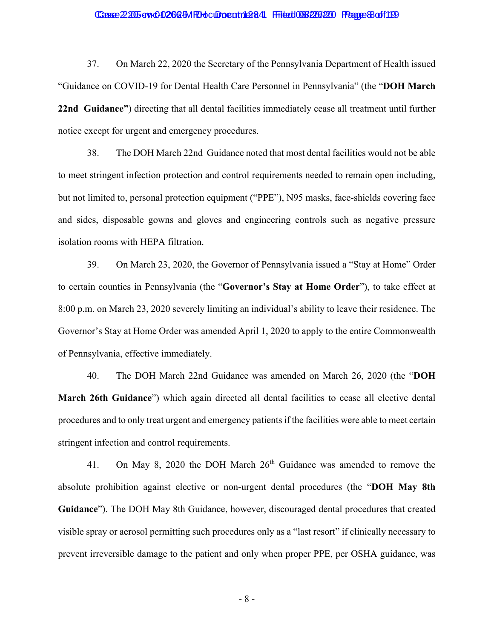### Casse 2205 av CD2625MRHocumeatrich at 41 Fried 066 226 220 Frage Boff 1199

37. On March 22, 2020 the Secretary of the Pennsylvania Department of Health issued "Guidance on COVID-19 for Dental Health Care Personnel in Pennsylvania" (the "DOH March 22nd Guidance") directing that all dental facilities immediately cease all treatment until further notice except for urgent and emergency procedures.

38. The DOH March 22nd Guidance noted that most dental facilities would not be able to meet stringent infection protection and control requirements needed to remain open including, but not limited to, personal protection equipment ("PPE"), N95 masks, face-shields covering face and sides, disposable gowns and gloves and engineering controls such as negative pressure isolation rooms with HEPA filtration.

39. On March 23, 2020, the Governor of Pennsylvania issued a "Stay at Home" Order to certain counties in Pennsylvania (the "Governor's Stay at Home Order"), to take effect at 8:00 p.m. on March 23, 2020 severely limiting an individual's ability to leave their residence. The Governor's Stay at Home Order was amended April 1, 2020 to apply to the entire Commonwealth of Pennsylvania, effective immediately.

40. The DOH March 22nd Guidance was amended on March 26, 2020 (the "DOH March 26th Guidance") which again directed all dental facilities to cease all elective dental procedures and to only treat urgent and emergency patients if the facilities were able to meet certain stringent infection and control requirements.

On May 8, 2020 the DOH March 26<sup>th</sup> Guidance was amended to remove the 41. absolute prohibition against elective or non-urgent dental procedures (the "DOH May 8th Guidance"). The DOH May 8th Guidance, however, discouraged dental procedures that created visible spray or aerosol permitting such procedures only as a "last resort" if clinically necessary to prevent irreversible damage to the patient and only when proper PPE, per OSHA guidance, was

 $-8-$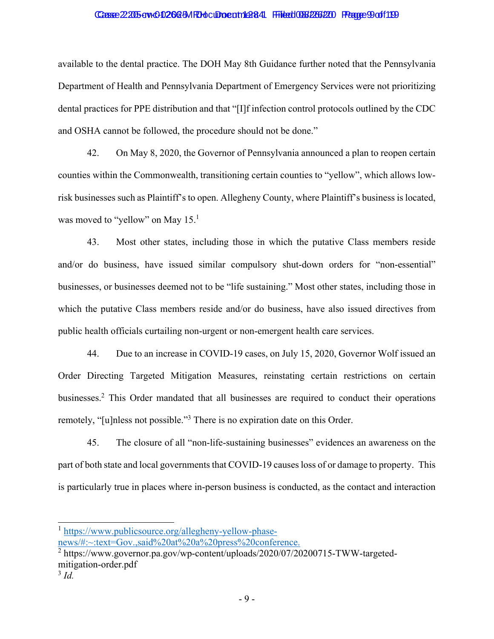### Casse 2205 av CD2025 MPd clooe at 126:41 File to 06 236 220 Fauge 9 of 119

available to the dental practice. The DOH May 8th Guidance further noted that the Pennsylvania Department of Health and Pennsylvania Department of Emergency Services were not prioritizing dental practices for PPE distribution and that "[I]f infection control protocols outlined by the CDC and OSHA cannot be followed, the procedure should not be done."

42. On May 8, 2020, the Governor of Pennsylvania announced a plan to reopen certain counties within the Commonwealth, transitioning certain counties to "yellow", which allows lowrisk businesses such as Plaintiff's to open. Allegheny County, where Plaintiff's business is located, was moved to "yellow" on May  $15<sup>1</sup>$ 

43. Most other states, including those in which the putative Class members reside and/or do business, have issued similar compulsory shut-down orders for "non-essential" businesses, or businesses deemed not to be "life sustaining." Most other states, including those in which the putative Class members reside and/or do business, have also issued directives from public health officials curtailing non-urgent or non-emergent health care services.

44. Due to an increase in COVID-19 cases, on July 15, 2020, Governor Wolf issued an Order Directing Targeted Mitigation Measures, reinstating certain restrictions on certain businesses.<sup>2</sup> This Order mandated that all businesses are required to conduct their operations remotely, "[u]nless not possible."<sup>3</sup> There is no expiration date on this Order.

45. The closure of all "non-life-sustaining businesses" evidences an awareness on the part of both state and local governments that COVID-19 causes loss of or damage to property. This is particularly true in places where in-person business is conducted, as the contact and interaction

<sup>&</sup>lt;sup>1</sup> https://www.publicsource.org/allegheny-yellow-phase-

news/#:~:text=Gov.,said%20at%20a%20press%20conference.

 $^{2}$  https://www.governor.pa.gov/wp-content/uploads/2020/07/20200715-TWW-targetedmitigation-order.pdf

 $3 \dot{d}$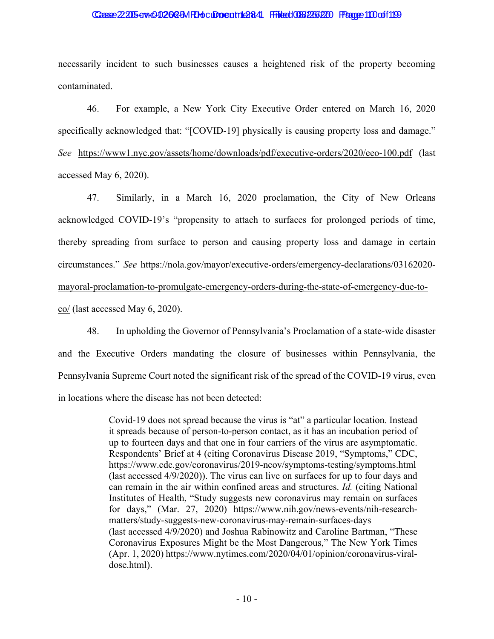#### Casse 22005 aw C 026 GM Rhot Droc and AB44 Findert 0067 2003 Frame 100 of 109

necessarily incident to such businesses causes a heightened risk of the property becoming contaminated.

46. For example, a New York City Executive Order entered on March 16, 2020 specifically acknowledged that: "[COVID-19] physically is causing property loss and damage." See https://www1.nyc.gov/assets/home/downloads/pdf/executive-orders/2020/eeo-100.pdf (last accessed May 6, 2020).

47. Similarly, in a March 16, 2020 proclamation, the City of New Orleans acknowledged COVID-19's "propensity to attach to surfaces for prolonged periods of time, thereby spreading from surface to person and causing property loss and damage in certain circumstances." See https://nola.gov/mayor/executive-orders/emergency-declarations/03162020mayoral-proclamation-to-promulgate-emergency-orders-during-the-state-of-emergency-due-toco/ (last accessed May 6, 2020).

48. In upholding the Governor of Pennsylvania's Proclamation of a state-wide disaster and the Executive Orders mandating the closure of businesses within Pennsylvania, the Pennsylvania Supreme Court noted the significant risk of the spread of the COVID-19 virus, even in locations where the disease has not been detected:

> Covid-19 does not spread because the virus is "at" a particular location. Instead it spreads because of person-to-person contact, as it has an incubation period of up to fourteen days and that one in four carriers of the virus are asymptomatic. Respondents' Brief at 4 (citing Coronavirus Disease 2019, "Symptoms," CDC, https://www.cdc.gov/coronavirus/2019-ncov/symptoms-testing/symptoms.html (last accessed 4/9/2020)). The virus can live on surfaces for up to four days and can remain in the air within confined areas and structures. Id. (citing National Institutes of Health, "Study suggests new coronavirus may remain on surfaces for days," (Mar. 27, 2020) https://www.nih.gov/news-events/nih-researchmatters/study-suggests-new-coronavirus-may-remain-surfaces-days (last accessed 4/9/2020) and Joshua Rabinowitz and Caroline Bartman, "These Coronavirus Exposures Might be the Most Dangerous," The New York Times (Apr. 1, 2020) https://www.nytimes.com/2020/04/01/opinion/coronavirus-viraldose.html).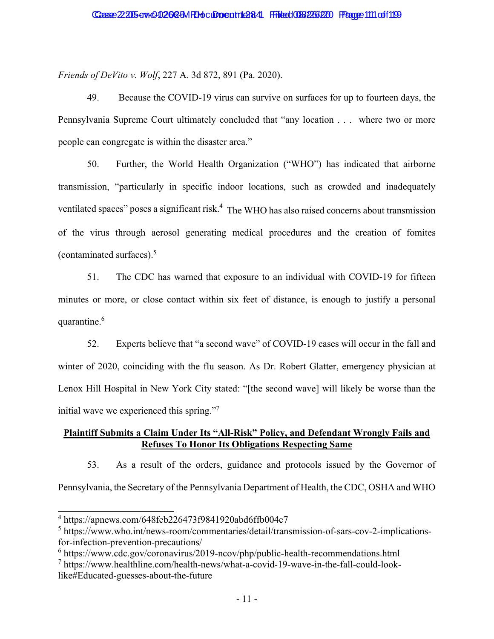Friends of DeVito v. Wolf, 227 A. 3d 872, 891 (Pa. 2020).

49. Because the COVID-19 virus can survive on surfaces for up to fourteen days, the Pennsylvania Supreme Court ultimately concluded that "any location . . . where two or more people can congregate is within the disaster area."

Further, the World Health Organization ("WHO") has indicated that airborne 50. transmission, "particularly in specific indoor locations, such as crowded and inadequately ventilated spaces" poses a significant risk.<sup>4</sup> The WHO has also raised concerns about transmission of the virus through aerosol generating medical procedures and the creation of fomites (contaminated surfaces). $5$ 

 $51.$ The CDC has warned that exposure to an individual with COVID-19 for fifteen minutes or more, or close contact within six feet of distance, is enough to justify a personal quarantine.<sup>6</sup>

52. Experts believe that "a second wave" of COVID-19 cases will occur in the fall and winter of 2020, coinciding with the flu season. As Dr. Robert Glatter, emergency physician at Lenox Hill Hospital in New York City stated: "[the second wave] will likely be worse than the initial wave we experienced this spring."

# **Plaintiff Submits a Claim Under Its "All-Risk" Policy, and Defendant Wrongly Fails and Refuses To Honor Its Obligations Respecting Same**

53. As a result of the orders, guidance and protocols issued by the Governor of Pennsylvania, the Secretary of the Pennsylvania Department of Health, the CDC, OSHA and WHO

 $4 \text{ https://apnews.com/648feb226473f9841920abd6ffb004c7}$ 

 $5$  https://www.who.int/news-room/commentaries/detail/transmission-of-sars-cov-2-implicationsfor-infection-prevention-precautions/

 $6$  https://www.cdc.gov/coronavirus/2019-ncov/php/public-health-recommendations.html

 $\frac{7}{1}$  https://www.healthline.com/health-news/what-a-covid-19-wave-in-the-fall-could-looklike#Educated-guesses-about-the-future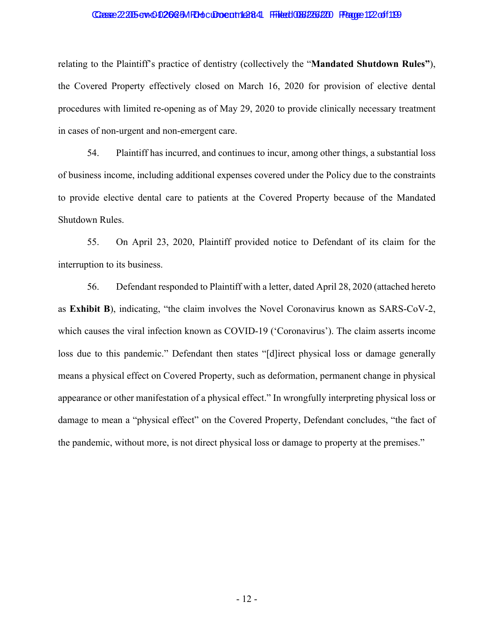### Casse 22005 aw 0020 a 5M Rhoc Docam 1 284 File to 038 226 220 Page 1 12 of 1 199

relating to the Plaintiff's practice of dentistry (collectively the "Mandated Shutdown Rules"), the Covered Property effectively closed on March 16, 2020 for provision of elective dental procedures with limited re-opening as of May 29, 2020 to provide clinically necessary treatment in cases of non-urgent and non-emergent care.

54. Plaintiff has incurred, and continues to incur, among other things, a substantial loss of business income, including additional expenses covered under the Policy due to the constraints to provide elective dental care to patients at the Covered Property because of the Mandated Shutdown Rules.

55. On April 23, 2020, Plaintiff provided notice to Defendant of its claim for the interruption to its business.

56. Defendant responded to Plaintiff with a letter, dated April 28, 2020 (attached hereto as Exhibit B), indicating, "the claim involves the Novel Coronavirus known as SARS-CoV-2, which causes the viral infection known as COVID-19 ('Coronavirus'). The claim asserts income loss due to this pandemic." Defendant then states "[d]irect physical loss or damage generally means a physical effect on Covered Property, such as deformation, permanent change in physical appearance or other manifestation of a physical effect." In wrongfully interpreting physical loss or damage to mean a "physical effect" on the Covered Property, Defendant concludes, "the fact of the pandemic, without more, is not direct physical loss or damage to property at the premises."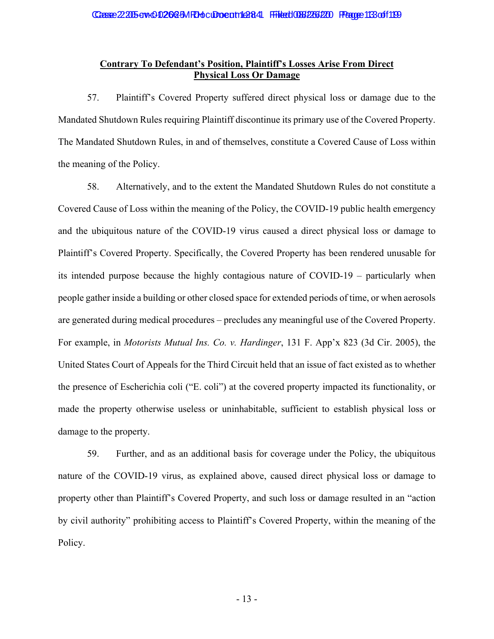# **Contrary To Defendant's Position, Plaintiff's Losses Arise From Direct Physical Loss Or Damage**

57. Plaintiff's Covered Property suffered direct physical loss or damage due to the Mandated Shutdown Rules requiring Plaintiff discontinue its primary use of the Covered Property. The Mandated Shutdown Rules, in and of themselves, constitute a Covered Cause of Loss within the meaning of the Policy.

58. Alternatively, and to the extent the Mandated Shutdown Rules do not constitute a Covered Cause of Loss within the meaning of the Policy, the COVID-19 public health emergency and the ubiquitous nature of the COVID-19 virus caused a direct physical loss or damage to Plaintiff's Covered Property. Specifically, the Covered Property has been rendered unusable for its intended purpose because the highly contagious nature of COVID-19 – particularly when people gather inside a building or other closed space for extended periods of time, or when aerosols are generated during medical procedures – precludes any meaningful use of the Covered Property. For example, in *Motorists Mutual Ins. Co. v. Hardinger*, 131 F. App'x 823 (3d Cir. 2005), the United States Court of Appeals for the Third Circuit held that an issue of fact existed as to whether the presence of Escherichia coli ("E. coli") at the covered property impacted its functionality, or made the property otherwise useless or uninhabitable, sufficient to establish physical loss or damage to the property.

59. Further, and as an additional basis for coverage under the Policy, the ubiquitous nature of the COVID-19 virus, as explained above, caused direct physical loss or damage to property other than Plaintiff's Covered Property, and such loss or damage resulted in an "action" by civil authority" prohibiting access to Plaintiff's Covered Property, within the meaning of the Policy.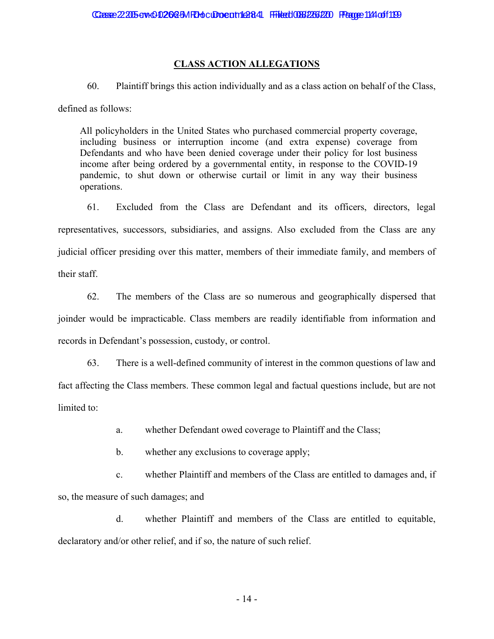## **CLASS ACTION ALLEGATIONS**

60. Plaintiff brings this action individually and as a class action on behalf of the Class,

defined as follows:

All policyholders in the United States who purchased commercial property coverage, including business or interruption income (and extra expense) coverage from Defendants and who have been denied coverage under their policy for lost business income after being ordered by a governmental entity, in response to the COVID-19 pandemic, to shut down or otherwise curtail or limit in any way their business operations.

61. Excluded from the Class are Defendant and its officers, directors, legal representatives, successors, subsidiaries, and assigns. Also excluded from the Class are any judicial officer presiding over this matter, members of their immediate family, and members of their staff.

62. The members of the Class are so numerous and geographically dispersed that joinder would be impracticable. Class members are readily identifiable from information and records in Defendant's possession, custody, or control.

63. There is a well-defined community of interest in the common questions of law and fact affecting the Class members. These common legal and factual questions include, but are not limited to:

> whether Defendant owed coverage to Plaintiff and the Class; a.

 $\mathbf{b}$ . whether any exclusions to coverage apply;

whether Plaintiff and members of the Class are entitled to damages and, if  $\mathbf{c}$ . so, the measure of such damages; and

 $d.$ whether Plaintiff and members of the Class are entitled to equitable, declaratory and/or other relief, and if so, the nature of such relief.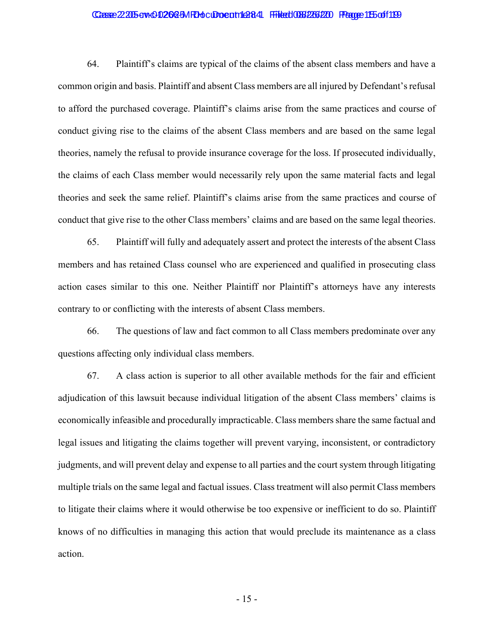### Casse 22005 aw 0020 a 5M Rhoc Docam 1 284 Filed 036 226 220 Frage 1 E5 of 1 1 99

64. Plaintiff's claims are typical of the claims of the absent class members and have a common origin and basis. Plaintiff and absent Class members are all injured by Defendant's refusal to afford the purchased coverage. Plaintiff's claims arise from the same practices and course of conduct giving rise to the claims of the absent Class members and are based on the same legal theories, namely the refusal to provide insurance coverage for the loss. If prosecuted individually, the claims of each Class member would necessarily rely upon the same material facts and legal theories and seek the same relief. Plaintiff's claims arise from the same practices and course of conduct that give rise to the other Class members' claims and are based on the same legal theories.

65. Plaintiff will fully and adequately assert and protect the interests of the absent Class members and has retained Class counsel who are experienced and qualified in prosecuting class action cases similar to this one. Neither Plaintiff nor Plaintiff's attorneys have any interests contrary to or conflicting with the interests of absent Class members.

66. The questions of law and fact common to all Class members predominate over any questions affecting only individual class members.

67. A class action is superior to all other available methods for the fair and efficient adjudication of this lawsuit because individual litigation of the absent Class members' claims is economically infeasible and procedurally impracticable. Class members share the same factual and legal issues and litigating the claims together will prevent varying, inconsistent, or contradictory judgments, and will prevent delay and expense to all parties and the court system through litigating multiple trials on the same legal and factual issues. Class treatment will also permit Class members to litigate their claims where it would otherwise be too expensive or inefficient to do so. Plaintiff knows of no difficulties in managing this action that would preclude its maintenance as a class action.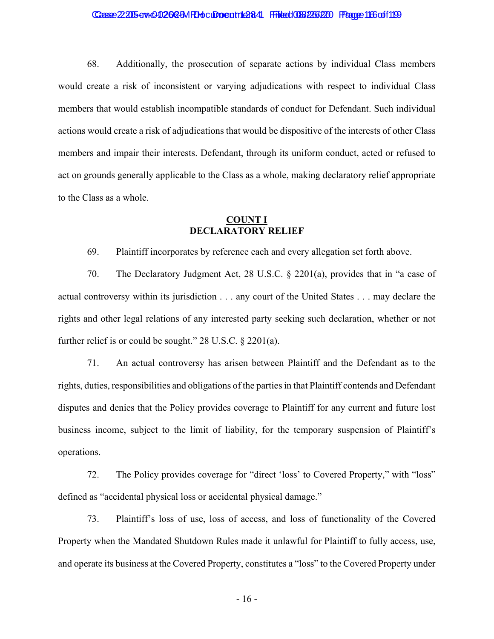### Casse 22205 aw 002023 M Rhoc Docam 1284 Filed 036236200 Fragge 116 of 1199

68. Additionally, the prosecution of separate actions by individual Class members would create a risk of inconsistent or varying adjudications with respect to individual Class members that would establish incompatible standards of conduct for Defendant. Such individual actions would create a risk of adjudications that would be dispositive of the interests of other Class members and impair their interests. Defendant, through its uniform conduct, acted or refused to act on grounds generally applicable to the Class as a whole, making declaratory relief appropriate to the Class as a whole.

## **COUNT I DECLARATORY RELIEF**

69. Plaintiff incorporates by reference each and every allegation set forth above.

70. The Declaratory Judgment Act, 28 U.S.C.  $\S$  2201(a), provides that in "a case of actual controversy within its jurisdiction . . . any court of the United States . . . may declare the rights and other legal relations of any interested party seeking such declaration, whether or not further relief is or could be sought."  $28$  U.S.C.  $\S$   $2201(a)$ .

71. An actual controversy has arisen between Plaintiff and the Defendant as to the rights, duties, responsibilities and obligations of the parties in that Plaintiff contends and Defendant disputes and denies that the Policy provides coverage to Plaintiff for any current and future lost business income, subject to the limit of liability, for the temporary suspension of Plaintiff's operations.

72. The Policy provides coverage for "direct 'loss' to Covered Property," with "loss" defined as "accidental physical loss or accidental physical damage."

73. Plaintiff's loss of use, loss of access, and loss of functionality of the Covered Property when the Mandated Shutdown Rules made it unlawful for Plaintiff to fully access, use, and operate its business at the Covered Property, constitutes a "loss" to the Covered Property under

 $-16-$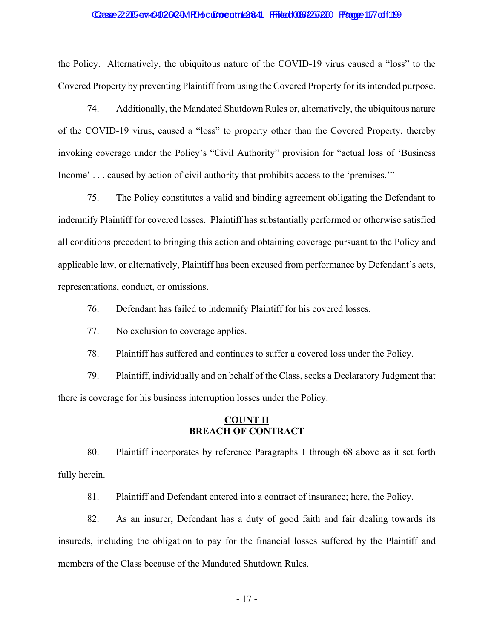### Casse 22205 aw 002023 M Rhoc Docam 1284 Filed 036236200 Fragge 117 of 1199

the Policy. Alternatively, the ubiquitous nature of the COVID-19 virus caused a "loss" to the Covered Property by preventing Plaintiff from using the Covered Property for its intended purpose.

74. Additionally, the Mandated Shutdown Rules or, alternatively, the ubiquitous nature of the COVID-19 virus, caused a "loss" to property other than the Covered Property, thereby invoking coverage under the Policy's "Civil Authority" provision for "actual loss of 'Business Income'... caused by action of civil authority that prohibits access to the 'premises."

75. The Policy constitutes a valid and binding agreement obligating the Defendant to indemnify Plaintiff for covered losses. Plaintiff has substantially performed or otherwise satisfied all conditions precedent to bringing this action and obtaining coverage pursuant to the Policy and applicable law, or alternatively, Plaintiff has been excused from performance by Defendant's acts, representations, conduct, or omissions.

76. Defendant has failed to indemnify Plaintiff for his covered losses.

77. No exclusion to coverage applies.

78. Plaintiff has suffered and continues to suffer a covered loss under the Policy.

79. Plaintiff, individually and on behalf of the Class, seeks a Declaratory Judgment that there is coverage for his business interruption losses under the Policy.

### **COUNT II BREACH OF CONTRACT**

80. Plaintiff incorporates by reference Paragraphs 1 through 68 above as it set forth fully herein.

81. Plaintiff and Defendant entered into a contract of insurance; here, the Policy.

82. As an insurer, Defendant has a duty of good faith and fair dealing towards its insureds, including the obligation to pay for the financial losses suffered by the Plaintiff and members of the Class because of the Mandated Shutdown Rules.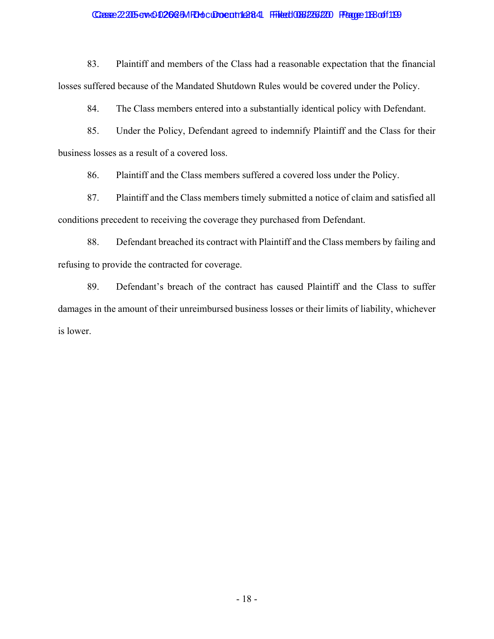### Casse 22205 av 002023 M Rhoc Docatric 884 File to 038 226 220 Fragge 118 of 119

83. Plaintiff and members of the Class had a reasonable expectation that the financial losses suffered because of the Mandated Shutdown Rules would be covered under the Policy.

84. The Class members entered into a substantially identical policy with Defendant.

85. Under the Policy, Defendant agreed to indemnify Plaintiff and the Class for their business losses as a result of a covered loss.

86. Plaintiff and the Class members suffered a covered loss under the Policy.

87. Plaintiff and the Class members timely submitted a notice of claim and satisfied all conditions precedent to receiving the coverage they purchased from Defendant.

88. Defendant breached its contract with Plaintiff and the Class members by failing and refusing to provide the contracted for coverage.

89. Defendant's breach of the contract has caused Plaintiff and the Class to suffer damages in the amount of their unreimbursed business losses or their limits of liability, whichever is lower.